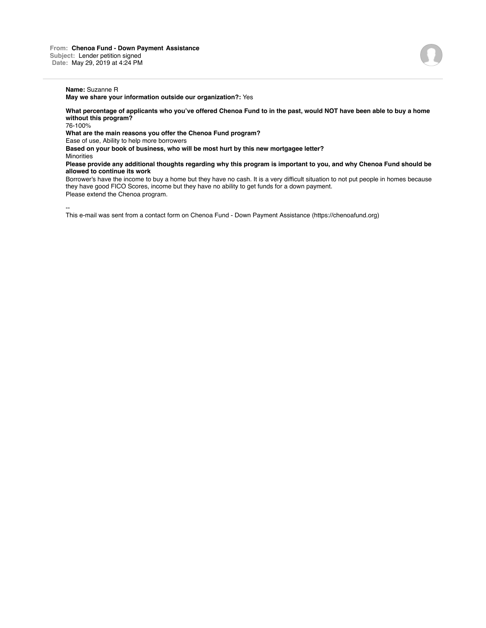**May we share your information outside our organization?:** Yes

**What percentage of applicants who you've offered Chenoa Fund to in the past, would NOT have been able to buy a home without this program?**

76-100%

**What are the main reasons you offer the Chenoa Fund program?**

Ease of use, Ability to help more borrowers

**Based on your book of business, who will be most hurt by this new mortgagee letter?**

**Minorities** 

**Please provide any additional thoughts regarding why this program is important to you, and why Chenoa Fund should be allowed to continue its work**

Borrower's have the income to buy a home but they have no cash. It is a very difficult situation to not put people in homes because they have good FICO Scores, income but they have no ability to get funds for a down payment. Please extend the Chenoa program.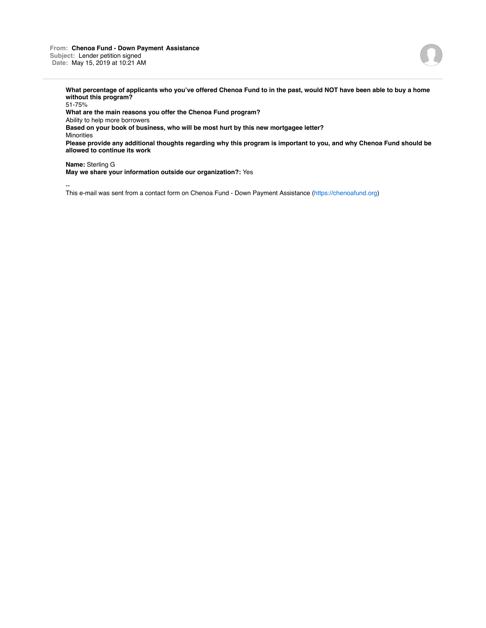**From: Chenoa Fund - Down Payment Assistance Subject:** Lender petition signed **Date:** May 15, 2019 at 10:21 AM



**What percentage of applicants who you've offered Chenoa Fund to in the past, would NOT have been able to buy a home without this program?**

51-75% **What are the main reasons you offer the Chenoa Fund program?** Ability to help more borrowers **Based on your book of business, who will be most hurt by this new mortgagee letter?** Minorities **Please provide any additional thoughts regarding why this program is important to you, and why Chenoa Fund should be allowed to continue its work**

**Name:** Sterling G **May we share your information outside our organization?:** Yes

--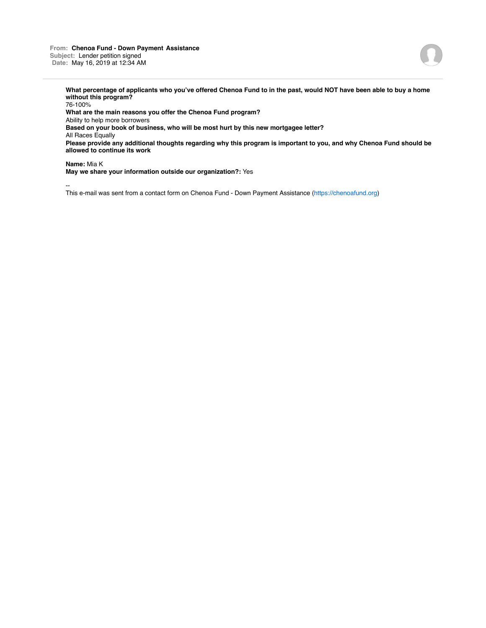**From: Chenoa Fund - Down Payment Assistance Subject:** Lender petition signed **Date:** May 16, 2019 at 12:34 AM



**What percentage of applicants who you've offered Chenoa Fund to in the past, would NOT have been able to buy a home without this program?**

76-100% **What are the main reasons you offer the Chenoa Fund program?** Ability to help more borrowers **Based on your book of business, who will be most hurt by this new mortgagee letter?** All Races Equally **Please provide any additional thoughts regarding why this program is important to you, and why Chenoa Fund should be allowed to continue its work**

**Name:** Mia K

**May we share your information outside our organization?:** Yes

--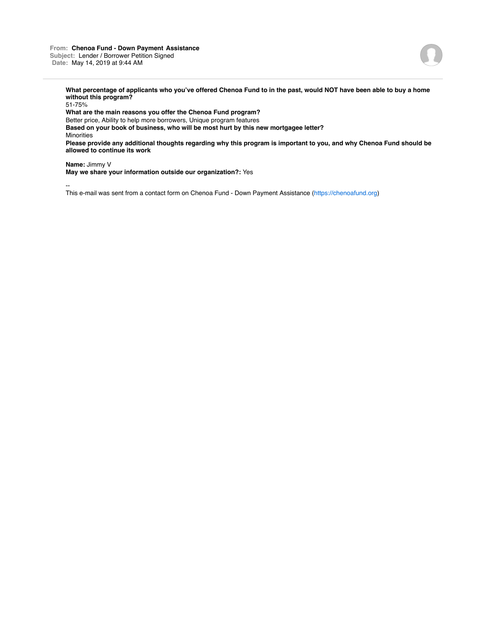

**What percentage of applicants who you've offered Chenoa Fund to in the past, would NOT have been able to buy a home without this program?**

51-75% **What are the main reasons you offer the Chenoa Fund program?** Better price, Ability to help more borrowers, Unique program features **Based on your book of business, who will be most hurt by this new mortgagee letter?** Minorities **Please provide any additional thoughts regarding why this program is important to you, and why Chenoa Fund should be allowed to continue its work**

**Name:** Jimmy V

**May we share your information outside our organization?:** Yes

--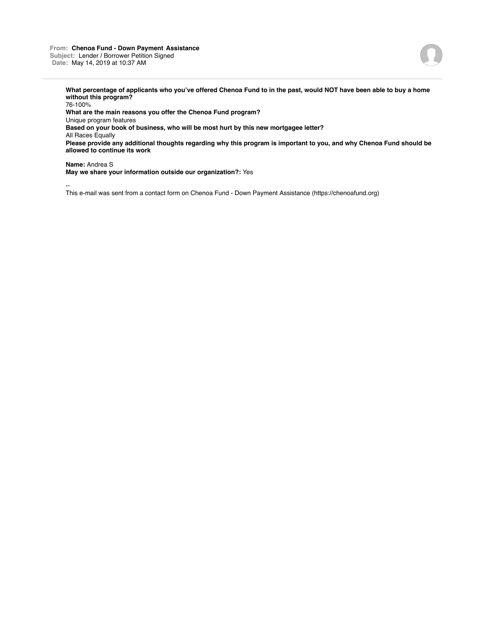## **From: Chenoa Fund - Down Payment Assistance Subject:** Lender / Borrower Petition Signed **Date:** May 14, 2019 at 10:37 AM



**What percentage of applicants who you've offered Chenoa Fund to in the past, would NOT have been able to buy a home without this program?**

76-100% **What are the main reasons you offer the Chenoa Fund program?** Unique program features **Based on your book of business, who will be most hurt by this new mortgagee letter?** All Races Equally **Please provide any additional thoughts regarding why this program is important to you, and why Chenoa Fund should be allowed to continue its work**

**Name:** Andrea S **May we share your information outside our organization?:** Yes

--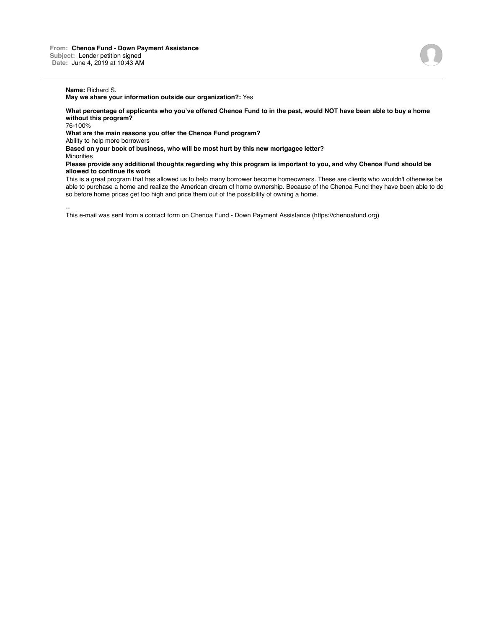**May we share your information outside our organization?:** Yes

**What percentage of applicants who you've offered Chenoa Fund to in the past, would NOT have been able to buy a home without this program?**

76-100%

**What are the main reasons you offer the Chenoa Fund program?**

Ability to help more borrowers

**Based on your book of business, who will be most hurt by this new mortgagee letter?**

**Minorities** 

--

**Please provide any additional thoughts regarding why this program is important to you, and why Chenoa Fund should be allowed to continue its work**

This is a great program that has allowed us to help many borrower become homeowners. These are clients who wouldn't otherwise be able to purchase a home and realize the American dream of home ownership. Because of the Chenoa Fund they have been able to do so before home prices get too high and price them out of the possibility of owning a home.